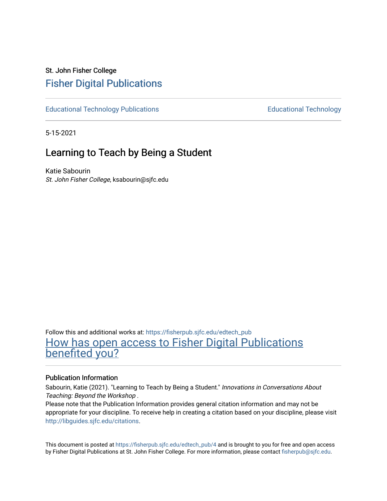## St. John Fisher College [Fisher Digital Publications](https://fisherpub.sjfc.edu/)

[Educational Technology Publications](https://fisherpub.sjfc.edu/edtech_pub) **Educational Technology Educational Technology** 

5-15-2021

## Learning to Teach by Being a Student

Katie Sabourin St. John Fisher College, ksabourin@sjfc.edu

Follow this and additional works at: [https://fisherpub.sjfc.edu/edtech\\_pub](https://fisherpub.sjfc.edu/edtech_pub?utm_source=fisherpub.sjfc.edu%2Fedtech_pub%2F4&utm_medium=PDF&utm_campaign=PDFCoverPages) [How has open access to Fisher Digital Publications](https://docs.google.com/forms/d/14zrnDfH9d1wcdq8oG_-gFabAsxfcH5claltx85ZWyTg/viewform?entry.1394608989=https://fisherpub.sjfc.edu/edtech_pub/4%3Chttps://docs.google.com/forms/d/14zrnDfH9d1wcdq8oG_-gFabAsxfcH5claltx85ZWyTg/viewform?entry.1394608989=%7bhttps://fisherpub.sjfc.edu/edtech_pub/4%7d) [benefited you?](https://docs.google.com/forms/d/14zrnDfH9d1wcdq8oG_-gFabAsxfcH5claltx85ZWyTg/viewform?entry.1394608989=https://fisherpub.sjfc.edu/edtech_pub/4%3Chttps://docs.google.com/forms/d/14zrnDfH9d1wcdq8oG_-gFabAsxfcH5claltx85ZWyTg/viewform?entry.1394608989=%7bhttps://fisherpub.sjfc.edu/edtech_pub/4%7d)

#### Publication Information

Sabourin, Katie (2021). "Learning to Teach by Being a Student." Innovations in Conversations About Teaching: Beyond the Workshop .

Please note that the Publication Information provides general citation information and may not be appropriate for your discipline. To receive help in creating a citation based on your discipline, please visit [http://libguides.sjfc.edu/citations.](http://libguides.sjfc.edu/citations)

This document is posted at [https://fisherpub.sjfc.edu/edtech\\_pub/4](https://fisherpub.sjfc.edu/edtech_pub/4) and is brought to you for free and open access by Fisher Digital Publications at St. John Fisher College. For more information, please contact [fisherpub@sjfc.edu](mailto:fisherpub@sjfc.edu).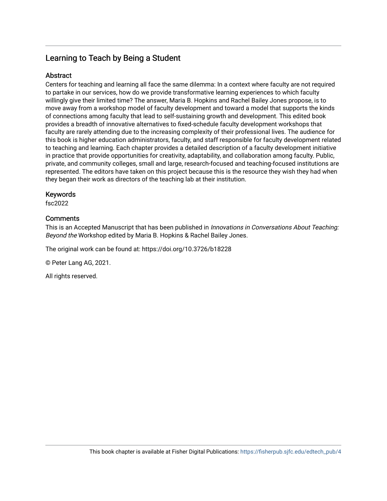## Learning to Teach by Being a Student

#### **Abstract**

Centers for teaching and learning all face the same dilemma: In a context where faculty are not required to partake in our services, how do we provide transformative learning experiences to which faculty willingly give their limited time? The answer, Maria B. Hopkins and Rachel Bailey Jones propose, is to move away from a workshop model of faculty development and toward a model that supports the kinds of connections among faculty that lead to self-sustaining growth and development. This edited book provides a breadth of innovative alternatives to fixed-schedule faculty development workshops that faculty are rarely attending due to the increasing complexity of their professional lives. The audience for this book is higher education administrators, faculty, and staff responsible for faculty development related to teaching and learning. Each chapter provides a detailed description of a faculty development initiative in practice that provide opportunities for creativity, adaptability, and collaboration among faculty. Public, private, and community colleges, small and large, research-focused and teaching-focused institutions are represented. The editors have taken on this project because this is the resource they wish they had when they began their work as directors of the teaching lab at their institution.

#### Keywords

fsc2022

#### **Comments**

This is an Accepted Manuscript that has been published in *Innovations in Conversations About Teaching*: Beyond the Workshop edited by Maria B. Hopkins & Rachel Bailey Jones.

The original work can be found at: https://doi.org/10.3726/b18228

© Peter Lang AG, 2021.

All rights reserved.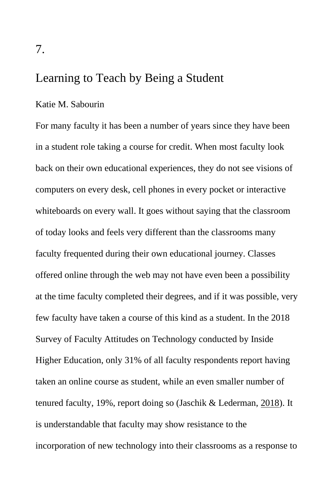## Learning to Teach by Being a Student

#### Katie M. Sabourin

For many faculty it has been a number of years since they have been in a student role taking a course for credit. When most faculty look back on their own educational experiences, they do not see visions of computers on every desk, cell phones in every pocket or interactive whiteboards on every wall. It goes without saying that the classroom of today looks and feels very different than the classrooms many faculty frequented during their own educational journey. Classes offered online through the web may not have even been a possibility at the time faculty completed their degrees, and if it was possible, very few faculty have taken a course of this kind as a student. In the 2018 Survey of Faculty Attitudes on Technology conducted by Inside Higher Education, only 31% of all faculty respondents report having taken an online course as student, while an even smaller number of tenured faculty, 19%, report doing so (Jaschik & Lederman, [2018\)](#page-38-0). It is understandable that faculty may show resistance to the incorporation of new technology into their classrooms as a response to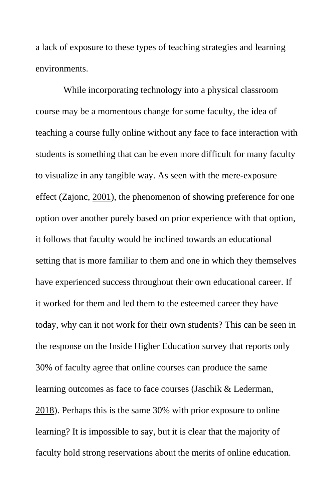a lack of exposure to these types of teaching strategies and learning environments.

While incorporating technology into a physical classroom course may be a momentous change for some faculty, the idea of teaching a course fully online without any face to face interaction with students is something that can be even more difficult for many faculty to visualize in any tangible way. As seen with the mere-exposure effect (Zajonc, [2001\)](#page-40-0), the phenomenon of showing preference for one option over another purely based on prior experience with that option, it follows that faculty would be inclined towards an educational setting that is more familiar to them and one in which they themselves have experienced success throughout their own educational career. If it worked for them and led them to the esteemed career they have today, why can it not work for their own students? This can be seen in the response on the Inside Higher Education survey that reports only 30% of faculty agree that online courses can produce the same learning outcomes as face to face courses (Jaschik & Lederman, [2018\)](#page-38-0). Perhaps this is the same 30% with prior exposure to online learning? It is impossible to say, but it is clear that the majority of faculty hold strong reservations about the merits of online education.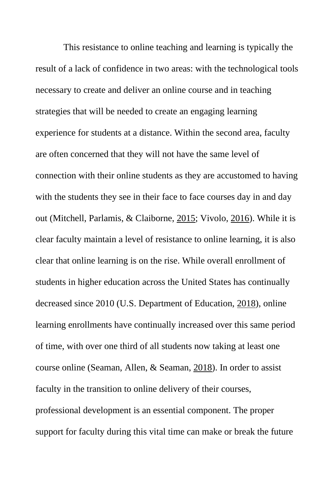This resistance to online teaching and learning is typically the result of a lack of confidence in two areas: with the technological tools necessary to create and deliver an online course and in teaching strategies that will be needed to create an engaging learning experience for students at a distance. Within the second area, faculty are often concerned that they will not have the same level of connection with their online students as they are accustomed to having with the students they see in their face to face courses day in and day out (Mitchell, Parlamis, & Claiborne, [2015;](#page-38-1) Vivolo, [2016\)](#page-39-0). While it is clear faculty maintain a level of resistance to online learning, it is also clear that online learning is on the rise. While overall enrollment of students in higher education across the United States has continually decreased since 2010 (U.S. Department of Education, [2018\)](#page-39-1), online learning enrollments have continually increased over this same period of time, with over one third of all students now taking at least one course online (Seaman, Allen, & Seaman, [2018\)](#page-39-2). In order to assist faculty in the transition to online delivery of their courses, professional development is an essential component. The proper support for faculty during this vital time can make or break the future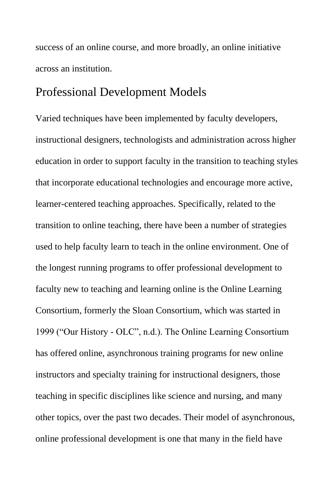success of an online course, and more broadly, an online initiative across an institution.

### Professional Development Models

Varied techniques have been implemented by faculty developers, instructional designers, technologists and administration across higher education in order to support faculty in the transition to teaching styles that incorporate educational technologies and encourage more active, learner-centered teaching approaches. Specifically, related to the transition to online teaching, there have been a number of strategies used to help faculty learn to teach in the online environment. One of the longest running programs to offer professional development to faculty new to teaching and learning online is the Online Learning Consortium, formerly the Sloan Consortium, which was started in 1999 ("Our History - OLC", n.d.). The Online Learning Consortium has offered online, asynchronous training programs for new online instructors and specialty training for instructional designers, those teaching in specific disciplines like science and nursing, and many other topics, over the past two decades. Their model of asynchronous, online professional development is one that many in the field have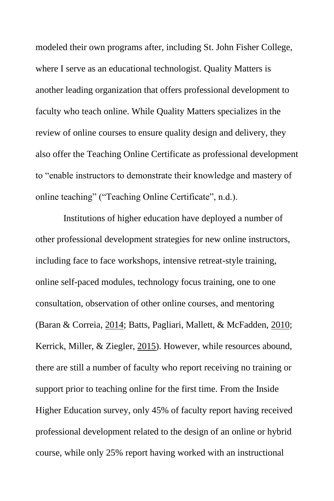modeled their own programs after, including St. John Fisher College, where I serve as an educational technologist. Quality Matters is another leading organization that offers professional development to faculty who teach online. While Quality Matters specializes in the review of online courses to ensure quality design and delivery, they also offer the Teaching Online Certificate as professional development to "enable instructors to demonstrate their knowledge and mastery of online teaching" ("Teaching Online Certificate", n.d.).

Institutions of higher education have deployed a number of other professional development strategies for new online instructors, including face to face workshops, intensive retreat-style training, online self-paced modules, technology focus training, one to one consultation, observation of other online courses, and mentoring (Baran & Correia, [2014;](#page-36-0) Batts, Pagliari, Mallett, & McFadden, [2010;](#page-36-1) Kerrick, Miller, & Ziegler, [2015\)](#page-38-2). However, while resources abound, there are still a number of faculty who report receiving no training or support prior to teaching online for the first time. From the Inside Higher Education survey, only 45% of faculty report having received professional development related to the design of an online or hybrid course, while only 25% report having worked with an instructional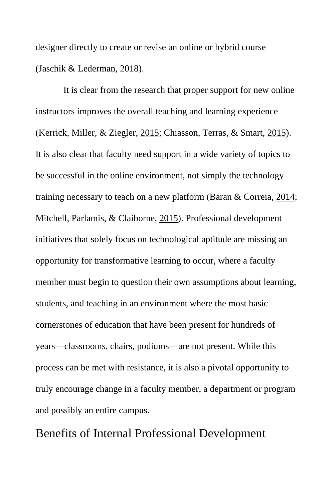designer directly to create or revise an online or hybrid course (Jaschik & Lederman, [2018\)](#page-38-0).

It is clear from the research that proper support for new online instructors improves the overall teaching and learning experience (Kerrick, Miller, & Ziegler, [2015;](#page-38-2) Chiasson, Terras, & Smart, [2015\)](#page-36-2). It is also clear that faculty need support in a wide variety of topics to be successful in the online environment, not simply the technology training necessary to teach on a new platform (Baran & Correia, [2014;](#page-36-0) Mitchell, Parlamis, & Claiborne, [2015\)](#page-38-1). Professional development initiatives that solely focus on technological aptitude are missing an opportunity for transformative learning to occur, where a faculty member must begin to question their own assumptions about learning, students, and teaching in an environment where the most basic cornerstones of education that have been present for hundreds of years—classrooms, chairs, podiums—are not present. While this process can be met with resistance, it is also a pivotal opportunity to truly encourage change in a faculty member, a department or program and possibly an entire campus.

Benefits of Internal Professional Development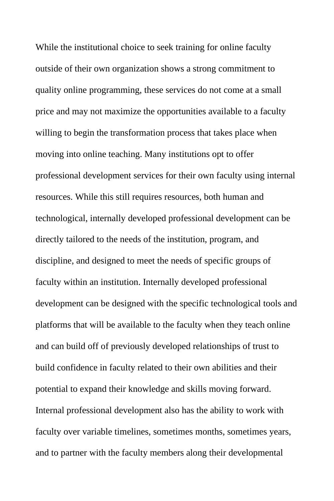While the institutional choice to seek training for online faculty outside of their own organization shows a strong commitment to quality online programming, these services do not come at a small price and may not maximize the opportunities available to a faculty willing to begin the transformation process that takes place when moving into online teaching. Many institutions opt to offer professional development services for their own faculty using internal resources. While this still requires resources, both human and technological, internally developed professional development can be directly tailored to the needs of the institution, program, and discipline, and designed to meet the needs of specific groups of faculty within an institution. Internally developed professional development can be designed with the specific technological tools and platforms that will be available to the faculty when they teach online and can build off of previously developed relationships of trust to build confidence in faculty related to their own abilities and their potential to expand their knowledge and skills moving forward. Internal professional development also has the ability to work with faculty over variable timelines, sometimes months, sometimes years, and to partner with the faculty members along their developmental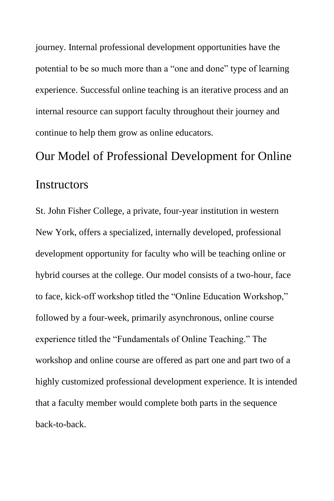journey. Internal professional development opportunities have the potential to be so much more than a "one and done" type of learning experience. Successful online teaching is an iterative process and an internal resource can support faculty throughout their journey and continue to help them grow as online educators.

# Our Model of Professional Development for Online **Instructors**

St. John Fisher College, a private, four-year institution in western New York, offers a specialized, internally developed, professional development opportunity for faculty who will be teaching online or hybrid courses at the college. Our model consists of a two-hour, face to face, kick-off workshop titled the "Online Education Workshop," followed by a four-week, primarily asynchronous, online course experience titled the "Fundamentals of Online Teaching." The workshop and online course are offered as part one and part two of a highly customized professional development experience. It is intended that a faculty member would complete both parts in the sequence back-to-back.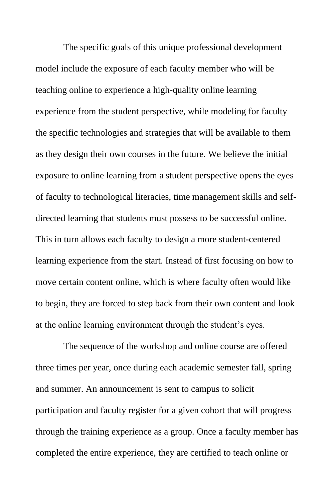The specific goals of this unique professional development model include the exposure of each faculty member who will be teaching online to experience a high-quality online learning experience from the student perspective, while modeling for faculty the specific technologies and strategies that will be available to them as they design their own courses in the future. We believe the initial exposure to online learning from a student perspective opens the eyes of faculty to technological literacies, time management skills and selfdirected learning that students must possess to be successful online. This in turn allows each faculty to design a more student-centered learning experience from the start. Instead of first focusing on how to move certain content online, which is where faculty often would like to begin, they are forced to step back from their own content and look at the online learning environment through the student's eyes.

The sequence of the workshop and online course are offered three times per year, once during each academic semester fall, spring and summer. An announcement is sent to campus to solicit participation and faculty register for a given cohort that will progress through the training experience as a group. Once a faculty member has completed the entire experience, they are certified to teach online or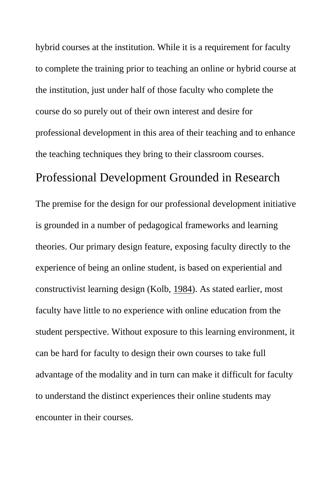hybrid courses at the institution. While it is a requirement for faculty to complete the training prior to teaching an online or hybrid course at the institution, just under half of those faculty who complete the course do so purely out of their own interest and desire for professional development in this area of their teaching and to enhance the teaching techniques they bring to their classroom courses.

#### Professional Development Grounded in Research

The premise for the design for our professional development initiative is grounded in a number of pedagogical frameworks and learning theories. Our primary design feature, exposing faculty directly to the experience of being an online student, is based on experiential and constructivist learning design (Kolb, [1984\)](#page-38-3). As stated earlier, most faculty have little to no experience with online education from the student perspective. Without exposure to this learning environment, it can be hard for faculty to design their own courses to take full advantage of the modality and in turn can make it difficult for faculty to understand the distinct experiences their online students may encounter in their courses.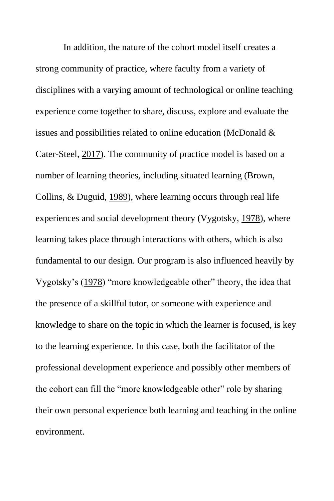In addition, the nature of the cohort model itself creates a strong community of practice, where faculty from a variety of disciplines with a varying amount of technological or online teaching experience come together to share, discuss, explore and evaluate the issues and possibilities related to online education (McDonald & Cater-Steel, [2017\)](#page-38-4). The community of practice model is based on a number of learning theories, including situated learning (Brown, Collins, & Duguid, [1989\)](#page-36-3), where learning occurs through real life experiences and social development theory (Vygotsky, [1978\)](#page-40-1), where learning takes place through interactions with others, which is also fundamental to our design. Our program is also influenced heavily by Vygotsky's [\(1978\)](#page-40-1) "more knowledgeable other" theory, the idea that the presence of a skillful tutor, or someone with experience and knowledge to share on the topic in which the learner is focused, is key to the learning experience. In this case, both the facilitator of the professional development experience and possibly other members of the cohort can fill the "more knowledgeable other" role by sharing their own personal experience both learning and teaching in the online environment.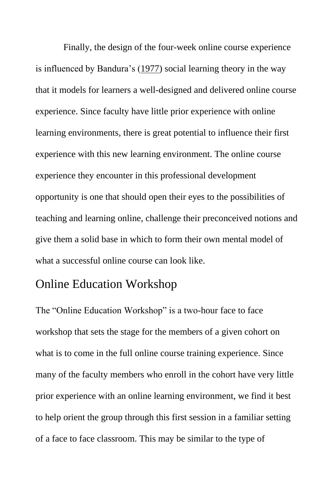Finally, the design of the four-week online course experience is influenced by Bandura's [\(1977\)](#page-36-4) social learning theory in the way that it models for learners a well-designed and delivered online course experience. Since faculty have little prior experience with online learning environments, there is great potential to influence their first experience with this new learning environment. The online course experience they encounter in this professional development opportunity is one that should open their eyes to the possibilities of teaching and learning online, challenge their preconceived notions and give them a solid base in which to form their own mental model of what a successful online course can look like.

### Online Education Workshop

The "Online Education Workshop" is a two-hour face to face workshop that sets the stage for the members of a given cohort on what is to come in the full online course training experience. Since many of the faculty members who enroll in the cohort have very little prior experience with an online learning environment, we find it best to help orient the group through this first session in a familiar setting of a face to face classroom. This may be similar to the type of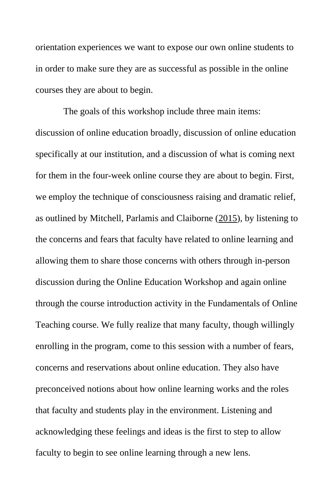orientation experiences we want to expose our own online students to in order to make sure they are as successful as possible in the online courses they are about to begin.

The goals of this workshop include three main items: discussion of online education broadly, discussion of online education specifically at our institution, and a discussion of what is coming next for them in the four-week online course they are about to begin. First, we employ the technique of consciousness raising and dramatic relief, as outlined by Mitchell, Parlamis and Claiborne [\(2015\)](#page-38-1), by listening to the concerns and fears that faculty have related to online learning and allowing them to share those concerns with others through in-person discussion during the Online Education Workshop and again online through the course introduction activity in the Fundamentals of Online Teaching course. We fully realize that many faculty, though willingly enrolling in the program, come to this session with a number of fears, concerns and reservations about online education. They also have preconceived notions about how online learning works and the roles that faculty and students play in the environment. Listening and acknowledging these feelings and ideas is the first to step to allow faculty to begin to see online learning through a new lens.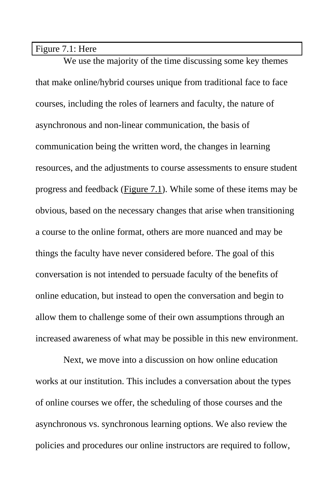Figure 7.1: Here

We use the majority of the time discussing some key themes that make online/hybrid courses unique from traditional face to face courses, including the roles of learners and faculty, the nature of asynchronous and non-linear communication, the basis of communication being the written word, the changes in learning resources, and the adjustments to course assessments to ensure student progress and feedback [\(Figure 7.1\)](#page-40-2). While some of these items may be obvious, based on the necessary changes that arise when transitioning a course to the online format, others are more nuanced and may be things the faculty have never considered before. The goal of this conversation is not intended to persuade faculty of the benefits of online education, but instead to open the conversation and begin to allow them to challenge some of their own assumptions through an increased awareness of what may be possible in this new environment.

Next, we move into a discussion on how online education works at our institution. This includes a conversation about the types of online courses we offer, the scheduling of those courses and the asynchronous vs. synchronous learning options. We also review the policies and procedures our online instructors are required to follow,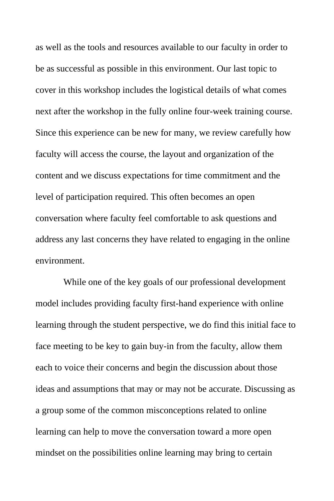as well as the tools and resources available to our faculty in order to be as successful as possible in this environment. Our last topic to cover in this workshop includes the logistical details of what comes next after the workshop in the fully online four-week training course. Since this experience can be new for many, we review carefully how faculty will access the course, the layout and organization of the content and we discuss expectations for time commitment and the level of participation required. This often becomes an open conversation where faculty feel comfortable to ask questions and address any last concerns they have related to engaging in the online environment.

While one of the key goals of our professional development model includes providing faculty first-hand experience with online learning through the student perspective, we do find this initial face to face meeting to be key to gain buy-in from the faculty, allow them each to voice their concerns and begin the discussion about those ideas and assumptions that may or may not be accurate. Discussing as a group some of the common misconceptions related to online learning can help to move the conversation toward a more open mindset on the possibilities online learning may bring to certain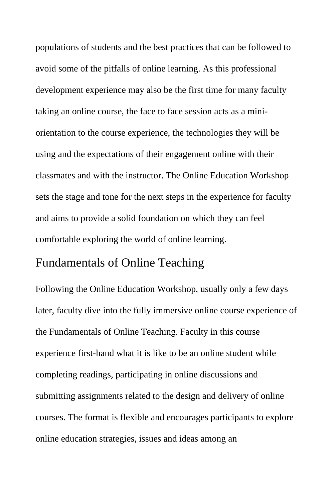populations of students and the best practices that can be followed to avoid some of the pitfalls of online learning. As this professional development experience may also be the first time for many faculty taking an online course, the face to face session acts as a miniorientation to the course experience, the technologies they will be using and the expectations of their engagement online with their classmates and with the instructor. The Online Education Workshop sets the stage and tone for the next steps in the experience for faculty and aims to provide a solid foundation on which they can feel comfortable exploring the world of online learning.

## Fundamentals of Online Teaching

Following the Online Education Workshop, usually only a few days later, faculty dive into the fully immersive online course experience of the Fundamentals of Online Teaching. Faculty in this course experience first-hand what it is like to be an online student while completing readings, participating in online discussions and submitting assignments related to the design and delivery of online courses. The format is flexible and encourages participants to explore online education strategies, issues and ideas among an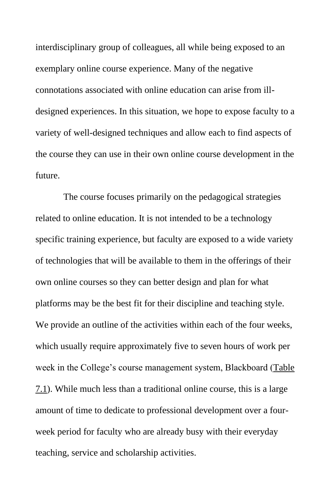interdisciplinary group of colleagues, all while being exposed to an exemplary online course experience. Many of the negative connotations associated with online education can arise from illdesigned experiences. In this situation, we hope to expose faculty to a variety of well-designed techniques and allow each to find aspects of the course they can use in their own online course development in the future.

The course focuses primarily on the pedagogical strategies related to online education. It is not intended to be a technology specific training experience, but faculty are exposed to a wide variety of technologies that will be available to them in the offerings of their own online courses so they can better design and plan for what platforms may be the best fit for their discipline and teaching style. We provide an outline of the activities within each of the four weeks, which usually require approximately five to seven hours of work per week in the College's course management system, Blackboard [\(Table](#page-40-3)  [7.1\)](#page-40-3). While much less than a traditional online course, this is a large amount of time to dedicate to professional development over a fourweek period for faculty who are already busy with their everyday teaching, service and scholarship activities.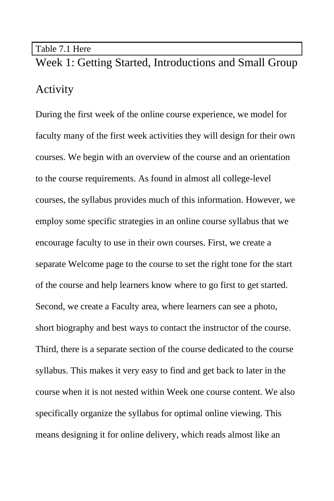#### Table 7.1 Here

Week 1: Getting Started, Introductions and Small Group Activity

During the first week of the online course experience, we model for faculty many of the first week activities they will design for their own courses. We begin with an overview of the course and an orientation to the course requirements. As found in almost all college-level courses, the syllabus provides much of this information. However, we employ some specific strategies in an online course syllabus that we encourage faculty to use in their own courses. First, we create a separate Welcome page to the course to set the right tone for the start of the course and help learners know where to go first to get started. Second, we create a Faculty area, where learners can see a photo, short biography and best ways to contact the instructor of the course. Third, there is a separate section of the course dedicated to the course syllabus. This makes it very easy to find and get back to later in the course when it is not nested within Week one course content. We also specifically organize the syllabus for optimal online viewing. This means designing it for online delivery, which reads almost like an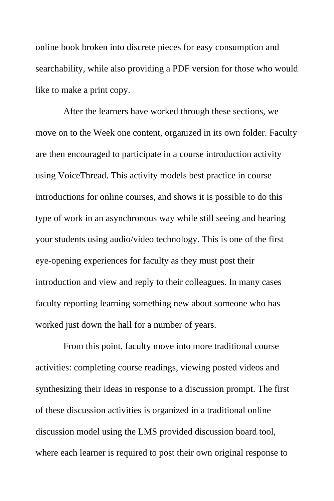online book broken into discrete pieces for easy consumption and searchability, while also providing a PDF version for those who would like to make a print copy.

After the learners have worked through these sections, we move on to the Week one content, organized in its own folder. Faculty are then encouraged to participate in a course introduction activity using VoiceThread. This activity models best practice in course introductions for online courses, and shows it is possible to do this type of work in an asynchronous way while still seeing and hearing your students using audio/video technology. This is one of the first eye-opening experiences for faculty as they must post their introduction and view and reply to their colleagues. In many cases faculty reporting learning something new about someone who has worked just down the hall for a number of years.

From this point, faculty move into more traditional course activities: completing course readings, viewing posted videos and synthesizing their ideas in response to a discussion prompt. The first of these discussion activities is organized in a traditional online discussion model using the LMS provided discussion board tool, where each learner is required to post their own original response to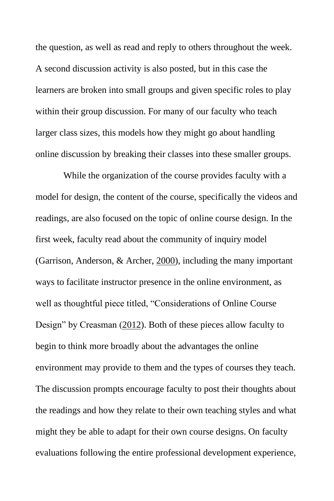the question, as well as read and reply to others throughout the week. A second discussion activity is also posted, but in this case the learners are broken into small groups and given specific roles to play within their group discussion. For many of our faculty who teach larger class sizes, this models how they might go about handling online discussion by breaking their classes into these smaller groups.

While the organization of the course provides faculty with a model for design, the content of the course, specifically the videos and readings, are also focused on the topic of online course design. In the first week, faculty read about the community of inquiry model (Garrison, Anderson, & Archer, [2000\)](#page-37-0), including the many important ways to facilitate instructor presence in the online environment, as well as thoughtful piece titled, "Considerations of Online Course Design" by Creasman [\(2012\)](#page-37-1). Both of these pieces allow faculty to begin to think more broadly about the advantages the online environment may provide to them and the types of courses they teach. The discussion prompts encourage faculty to post their thoughts about the readings and how they relate to their own teaching styles and what might they be able to adapt for their own course designs. On faculty evaluations following the entire professional development experience,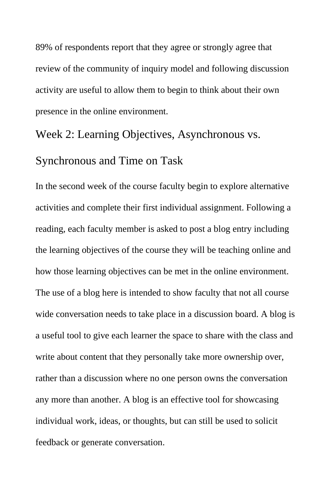89% of respondents report that they agree or strongly agree that review of the community of inquiry model and following discussion activity are useful to allow them to begin to think about their own presence in the online environment.

### Week 2: Learning Objectives, Asynchronous vs.

#### Synchronous and Time on Task

In the second week of the course faculty begin to explore alternative activities and complete their first individual assignment. Following a reading, each faculty member is asked to post a blog entry including the learning objectives of the course they will be teaching online and how those learning objectives can be met in the online environment. The use of a blog here is intended to show faculty that not all course wide conversation needs to take place in a discussion board. A blog is a useful tool to give each learner the space to share with the class and write about content that they personally take more ownership over, rather than a discussion where no one person owns the conversation any more than another. A blog is an effective tool for showcasing individual work, ideas, or thoughts, but can still be used to solicit feedback or generate conversation.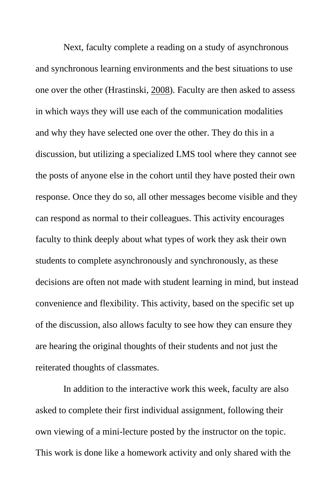Next, faculty complete a reading on a study of asynchronous and synchronous learning environments and the best situations to use one over the other (Hrastinski, [2008\)](#page-37-2). Faculty are then asked to assess in which ways they will use each of the communication modalities and why they have selected one over the other. They do this in a discussion, but utilizing a specialized LMS tool where they cannot see the posts of anyone else in the cohort until they have posted their own response. Once they do so, all other messages become visible and they can respond as normal to their colleagues. This activity encourages faculty to think deeply about what types of work they ask their own students to complete asynchronously and synchronously, as these decisions are often not made with student learning in mind, but instead convenience and flexibility. This activity, based on the specific set up of the discussion, also allows faculty to see how they can ensure they are hearing the original thoughts of their students and not just the reiterated thoughts of classmates.

In addition to the interactive work this week, faculty are also asked to complete their first individual assignment, following their own viewing of a mini-lecture posted by the instructor on the topic. This work is done like a homework activity and only shared with the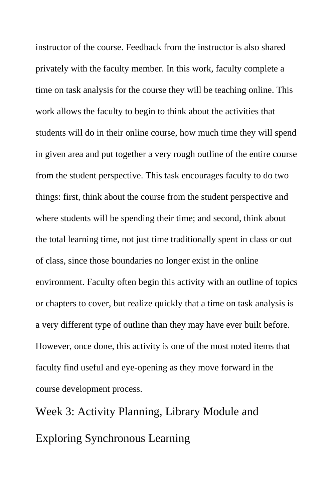instructor of the course. Feedback from the instructor is also shared privately with the faculty member. In this work, faculty complete a time on task analysis for the course they will be teaching online. This work allows the faculty to begin to think about the activities that students will do in their online course, how much time they will spend in given area and put together a very rough outline of the entire course from the student perspective. This task encourages faculty to do two things: first, think about the course from the student perspective and where students will be spending their time; and second, think about the total learning time, not just time traditionally spent in class or out of class, since those boundaries no longer exist in the online environment. Faculty often begin this activity with an outline of topics or chapters to cover, but realize quickly that a time on task analysis is a very different type of outline than they may have ever built before. However, once done, this activity is one of the most noted items that faculty find useful and eye-opening as they move forward in the course development process.

Week 3: Activity Planning, Library Module and Exploring Synchronous Learning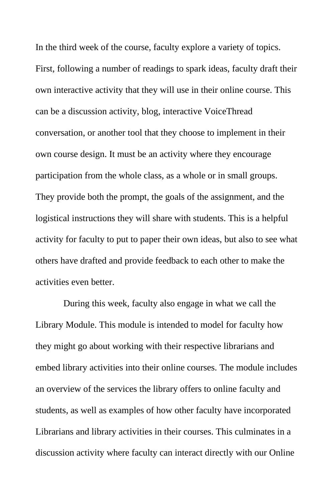In the third week of the course, faculty explore a variety of topics. First, following a number of readings to spark ideas, faculty draft their own interactive activity that they will use in their online course. This can be a discussion activity, blog, interactive VoiceThread conversation, or another tool that they choose to implement in their own course design. It must be an activity where they encourage participation from the whole class, as a whole or in small groups. They provide both the prompt, the goals of the assignment, and the logistical instructions they will share with students. This is a helpful activity for faculty to put to paper their own ideas, but also to see what others have drafted and provide feedback to each other to make the activities even better.

During this week, faculty also engage in what we call the Library Module. This module is intended to model for faculty how they might go about working with their respective librarians and embed library activities into their online courses. The module includes an overview of the services the library offers to online faculty and students, as well as examples of how other faculty have incorporated Librarians and library activities in their courses. This culminates in a discussion activity where faculty can interact directly with our Online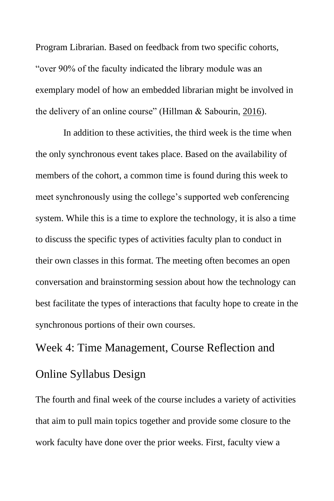Program Librarian. Based on feedback from two specific cohorts, "over 90% of the faculty indicated the library module was an exemplary model of how an embedded librarian might be involved in the delivery of an online course" (Hillman & Sabourin, [2016\)](#page-37-3).

In addition to these activities, the third week is the time when the only synchronous event takes place. Based on the availability of members of the cohort, a common time is found during this week to meet synchronously using the college's supported web conferencing system. While this is a time to explore the technology, it is also a time to discuss the specific types of activities faculty plan to conduct in their own classes in this format. The meeting often becomes an open conversation and brainstorming session about how the technology can best facilitate the types of interactions that faculty hope to create in the synchronous portions of their own courses.

# Week 4: Time Management, Course Reflection and Online Syllabus Design

The fourth and final week of the course includes a variety of activities that aim to pull main topics together and provide some closure to the work faculty have done over the prior weeks. First, faculty view a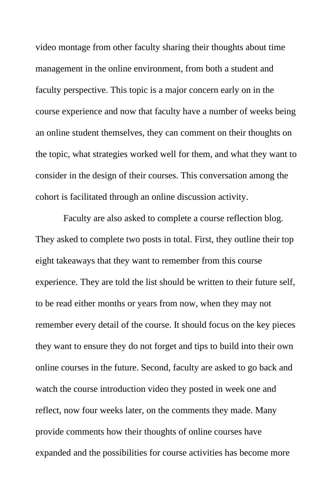video montage from other faculty sharing their thoughts about time management in the online environment, from both a student and faculty perspective. This topic is a major concern early on in the course experience and now that faculty have a number of weeks being an online student themselves, they can comment on their thoughts on the topic, what strategies worked well for them, and what they want to consider in the design of their courses. This conversation among the cohort is facilitated through an online discussion activity.

Faculty are also asked to complete a course reflection blog. They asked to complete two posts in total. First, they outline their top eight takeaways that they want to remember from this course experience. They are told the list should be written to their future self, to be read either months or years from now, when they may not remember every detail of the course. It should focus on the key pieces they want to ensure they do not forget and tips to build into their own online courses in the future. Second, faculty are asked to go back and watch the course introduction video they posted in week one and reflect, now four weeks later, on the comments they made. Many provide comments how their thoughts of online courses have expanded and the possibilities for course activities has become more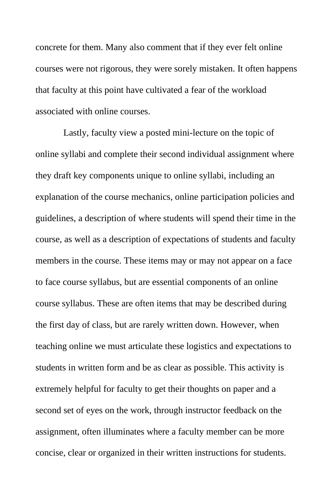concrete for them. Many also comment that if they ever felt online courses were not rigorous, they were sorely mistaken. It often happens that faculty at this point have cultivated a fear of the workload associated with online courses.

Lastly, faculty view a posted mini-lecture on the topic of online syllabi and complete their second individual assignment where they draft key components unique to online syllabi, including an explanation of the course mechanics, online participation policies and guidelines, a description of where students will spend their time in the course, as well as a description of expectations of students and faculty members in the course. These items may or may not appear on a face to face course syllabus, but are essential components of an online course syllabus. These are often items that may be described during the first day of class, but are rarely written down. However, when teaching online we must articulate these logistics and expectations to students in written form and be as clear as possible. This activity is extremely helpful for faculty to get their thoughts on paper and a second set of eyes on the work, through instructor feedback on the assignment, often illuminates where a faculty member can be more concise, clear or organized in their written instructions for students.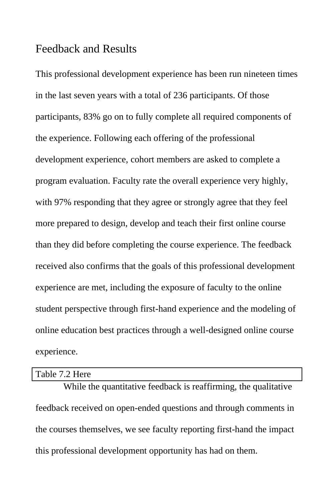### Feedback and Results

This professional development experience has been run nineteen times in the last seven years with a total of 236 participants. Of those participants, 83% go on to fully complete all required components of the experience. Following each offering of the professional development experience, cohort members are asked to complete a program evaluation. Faculty rate the overall experience very highly, with 97% responding that they agree or strongly agree that they feel more prepared to design, develop and teach their first online course than they did before completing the course experience. The feedback received also confirms that the goals of this professional development experience are met, including the exposure of faculty to the online student perspective through first-hand experience and the modeling of online education best practices through a well-designed online course experience.

#### Table 7.2 Here

While the quantitative feedback is reaffirming, the qualitative feedback received on open-ended questions and through comments in the courses themselves, we see faculty reporting first-hand the impact this professional development opportunity has had on them.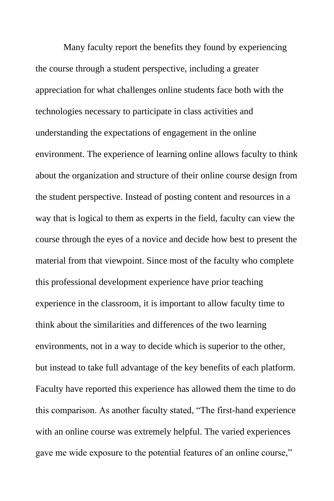Many faculty report the benefits they found by experiencing the course through a student perspective, including a greater appreciation for what challenges online students face both with the technologies necessary to participate in class activities and understanding the expectations of engagement in the online environment. The experience of learning online allows faculty to think about the organization and structure of their online course design from the student perspective. Instead of posting content and resources in a way that is logical to them as experts in the field, faculty can view the course through the eyes of a novice and decide how best to present the material from that viewpoint. Since most of the faculty who complete this professional development experience have prior teaching experience in the classroom, it is important to allow faculty time to think about the similarities and differences of the two learning environments, not in a way to decide which is superior to the other, but instead to take full advantage of the key benefits of each platform. Faculty have reported this experience has allowed them the time to do this comparison. As another faculty stated, "The first-hand experience with an online course was extremely helpful. The varied experiences gave me wide exposure to the potential features of an online course,"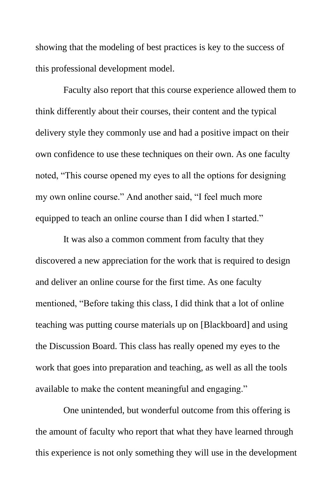showing that the modeling of best practices is key to the success of this professional development model.

Faculty also report that this course experience allowed them to think differently about their courses, their content and the typical delivery style they commonly use and had a positive impact on their own confidence to use these techniques on their own. As one faculty noted, "This course opened my eyes to all the options for designing my own online course." And another said, "I feel much more equipped to teach an online course than I did when I started."

It was also a common comment from faculty that they discovered a new appreciation for the work that is required to design and deliver an online course for the first time. As one faculty mentioned, "Before taking this class, I did think that a lot of online teaching was putting course materials up on [Blackboard] and using the Discussion Board. This class has really opened my eyes to the work that goes into preparation and teaching, as well as all the tools available to make the content meaningful and engaging."

One unintended, but wonderful outcome from this offering is the amount of faculty who report that what they have learned through this experience is not only something they will use in the development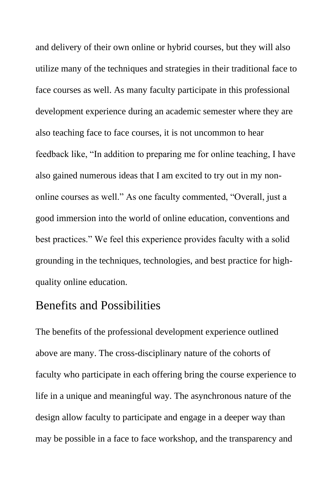and delivery of their own online or hybrid courses, but they will also utilize many of the techniques and strategies in their traditional face to face courses as well. As many faculty participate in this professional development experience during an academic semester where they are also teaching face to face courses, it is not uncommon to hear feedback like, "In addition to preparing me for online teaching, I have also gained numerous ideas that I am excited to try out in my nononline courses as well." As one faculty commented, "Overall, just a good immersion into the world of online education, conventions and best practices." We feel this experience provides faculty with a solid grounding in the techniques, technologies, and best practice for highquality online education.

## Benefits and Possibilities

The benefits of the professional development experience outlined above are many. The cross-disciplinary nature of the cohorts of faculty who participate in each offering bring the course experience to life in a unique and meaningful way. The asynchronous nature of the design allow faculty to participate and engage in a deeper way than may be possible in a face to face workshop, and the transparency and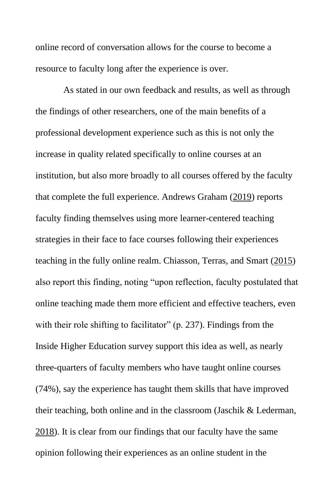online record of conversation allows for the course to become a resource to faculty long after the experience is over.

As stated in our own feedback and results, as well as through the findings of other researchers, one of the main benefits of a professional development experience such as this is not only the increase in quality related specifically to online courses at an institution, but also more broadly to all courses offered by the faculty that complete the full experience. Andrews Graham [\(2019\)](#page-36-5) reports faculty finding themselves using more learner-centered teaching strategies in their face to face courses following their experiences teaching in the fully online realm. Chiasson, Terras, and Smart [\(2015\)](#page-36-2) also report this finding, noting "upon reflection, faculty postulated that online teaching made them more efficient and effective teachers, even with their role shifting to facilitator" (p. 237). Findings from the Inside Higher Education survey support this idea as well, as nearly three-quarters of faculty members who have taught online courses (74%), say the experience has taught them skills that have improved their teaching, both online and in the classroom (Jaschik & Lederman, [2018\)](#page-38-0). It is clear from our findings that our faculty have the same opinion following their experiences as an online student in the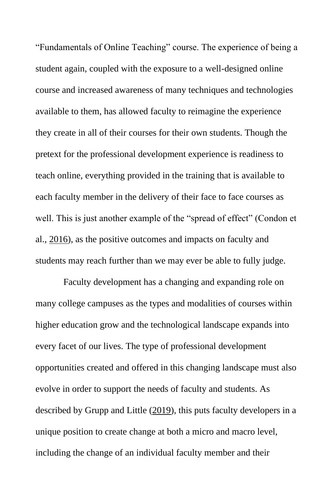"Fundamentals of Online Teaching" course. The experience of being a student again, coupled with the exposure to a well-designed online course and increased awareness of many techniques and technologies available to them, has allowed faculty to reimagine the experience they create in all of their courses for their own students. Though the pretext for the professional development experience is readiness to teach online, everything provided in the training that is available to each faculty member in the delivery of their face to face courses as well. This is just another example of the "spread of effect" (Condon et al., [2016\)](#page-37-4), as the positive outcomes and impacts on faculty and students may reach further than we may ever be able to fully judge.

Faculty development has a changing and expanding role on many college campuses as the types and modalities of courses within higher education grow and the technological landscape expands into every facet of our lives. The type of professional development opportunities created and offered in this changing landscape must also evolve in order to support the needs of faculty and students. As described by Grupp and Little [\(2019\)](#page-37-5), this puts faculty developers in a unique position to create change at both a micro and macro level, including the change of an individual faculty member and their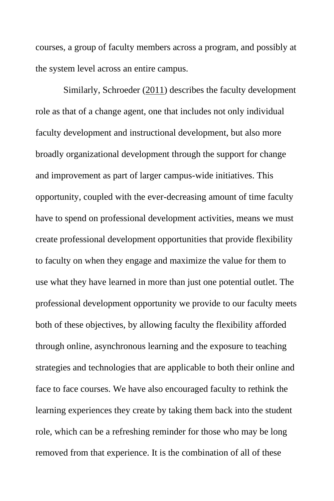courses, a group of faculty members across a program, and possibly at the system level across an entire campus.

Similarly, Schroeder [\(2011\)](#page-39-3) describes the faculty development role as that of a change agent, one that includes not only individual faculty development and instructional development, but also more broadly organizational development through the support for change and improvement as part of larger campus-wide initiatives. This opportunity, coupled with the ever-decreasing amount of time faculty have to spend on professional development activities, means we must create professional development opportunities that provide flexibility to faculty on when they engage and maximize the value for them to use what they have learned in more than just one potential outlet. The professional development opportunity we provide to our faculty meets both of these objectives, by allowing faculty the flexibility afforded through online, asynchronous learning and the exposure to teaching strategies and technologies that are applicable to both their online and face to face courses. We have also encouraged faculty to rethink the learning experiences they create by taking them back into the student role, which can be a refreshing reminder for those who may be long removed from that experience. It is the combination of all of these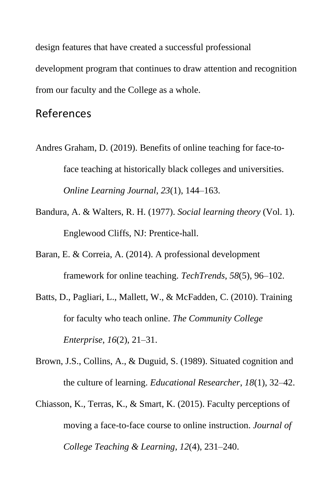design features that have created a successful professional development program that continues to draw attention and recognition from our faculty and the College as a whole.

## References

- <span id="page-36-5"></span>Andres Graham, D. (2019). Benefits of online teaching for face-toface teaching at historically black colleges and universities. *Online Learning Journal*, *23*(1), 144–163.
- <span id="page-36-4"></span>Bandura, A. & Walters, R. H. (1977). *Social learning theory* (Vol. 1). Englewood Cliffs, NJ: Prentice-hall.
- <span id="page-36-0"></span>Baran, E. & Correia, A. (2014). A professional development framework for online teaching. *TechTrends*, *58*(5), 96–102.
- <span id="page-36-1"></span>Batts, D., Pagliari, L., Mallett, W., & McFadden, C. (2010). Training for faculty who teach online. *The Community College Enterprise*, *16*(2), 21–31.
- <span id="page-36-3"></span>Brown, J.S., Collins, A., & Duguid, S. (1989). Situated cognition and the culture of learning. *Educational Researcher*, *18*(1), 32–42.
- <span id="page-36-2"></span>Chiasson, K., Terras, K., & Smart, K. (2015). Faculty perceptions of moving a face-to-face course to online instruction. *Journal of College Teaching & Learning*, *12*(4), 231–240.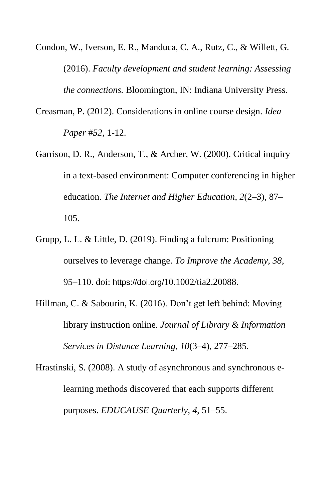- <span id="page-37-4"></span>Condon, W., Iverson, E. R., Manduca, C. A., Rutz, C., & Willett, G. (2016). *Faculty development and student learning: Assessing the connections.* Bloomington, IN: Indiana University Press.
- <span id="page-37-1"></span>Creasman, P. (2012). Considerations in online course design. *Idea Paper* #*52*, 1-12.
- <span id="page-37-0"></span>Garrison, D. R., Anderson, T., & Archer, W. (2000). Critical inquiry in a text-based environment: Computer conferencing in higher education. *The Internet and Higher Education*, *2*(2–3), 87– 105.
- <span id="page-37-5"></span>Grupp, L. L. & Little, D. (2019). Finding a fulcrum: Positioning ourselves to leverage change. *To Improve the Academy*, *38*, 95–110. doi: https://doi.org/10.1002/tia2.20088.
- <span id="page-37-3"></span>Hillman, C. & Sabourin, K. (2016). Don't get left behind: Moving library instruction online. *Journal of Library & Information Services in Distance Learning*, *10*(3–4), 277–285.
- <span id="page-37-2"></span>Hrastinski, S. (2008). A study of asynchronous and synchronous elearning methods discovered that each supports different purposes. *EDUCAUSE Quarterly*, *4*, 51–55.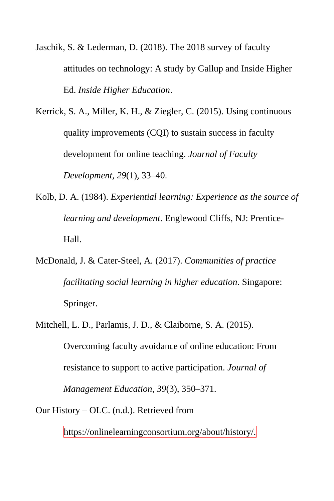<span id="page-38-0"></span>Jaschik, S. & Lederman, D. (2018). The 2018 survey of faculty attitudes on technology: A study by Gallup and Inside Higher Ed. *Inside Higher Education*.

<span id="page-38-2"></span>Kerrick, S. A., Miller, K. H., & Ziegler, C. (2015). Using continuous quality improvements (CQI) to sustain success in faculty development for online teaching. *Journal of Faculty Development*, *29*(1), 33–40.

- <span id="page-38-3"></span>Kolb, D. A. (1984). *Experiential learning: Experience as the source of learning and development*. Englewood Cliffs, NJ: Prentice-Hall.
- <span id="page-38-4"></span>McDonald, J. & Cater-Steel, A. (2017). *Communities of practice facilitating social learning in higher education*. Singapore: Springer.
- <span id="page-38-1"></span>Mitchell, L. D., Parlamis, J. D., & Claiborne, S. A. (2015). Overcoming faculty avoidance of online education: From resistance to support to active participation. *Journal of Management Education*, *39*(3), 350–371.

Our History – OLC. (n.d.). Retrieved from

https://onlinelearningconsortium.org/about/history/.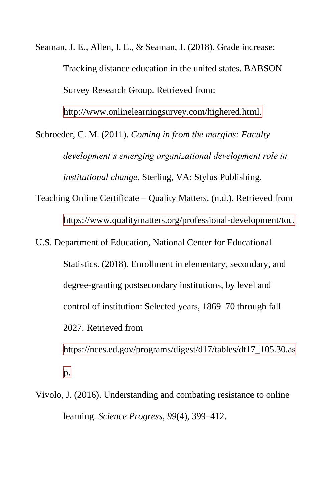<span id="page-39-2"></span>Seaman, J. E., Allen, I. E., & Seaman, J. (2018). Grade increase: Tracking distance education in the united states. BABSON Survey Research Group. Retrieved from:

<span id="page-39-3"></span>http://www.onlinelearningsurvey.com/highered.html.

Schroeder, C. M. (2011). *Coming in from the margins: Faculty development's emerging organizational development role in institutional change*. Sterling, VA: Stylus Publishing.

Teaching Online Certificate – Quality Matters. (n.d.). Retrieved from

https://www.qualitymatters.org/professional-development/toc.

U.S. Department of Education, National Center for Educational

<span id="page-39-1"></span>Statistics. (2018). Enrollment in elementary, secondary, and

degree-granting postsecondary institutions, by level and

control of institution: Selected years, 1869–70 through fall

2027. Retrieved from

https://nces.ed.gov/programs/digest/d17/tables/dt17\_105.30.as  $|p|$ 

<span id="page-39-0"></span>Vivolo, J. (2016). Understanding and combating resistance to online learning. *Science Progress*, *99*(4), 399–412.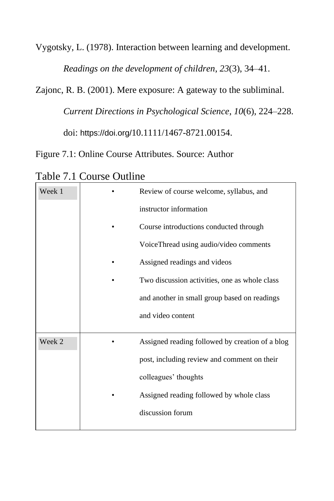Vygotsky, L. (1978). Interaction between learning and development.

<span id="page-40-1"></span><span id="page-40-0"></span>*Readings on the development of children*, *23*(3), 34–41.

Zajonc, R. B. (2001). Mere exposure: A gateway to the subliminal.

*Current Directions in Psychological Science*, *10*(6), 224–228.

doi: https://doi.org/10.1111/1467-8721.00154.

<span id="page-40-2"></span>Figure 7.1: Online Course Attributes. Source: Author

Week 1 **•** Review of course welcome, syllabus, and instructor information • Course introductions conducted through VoiceThread using audio/video comments • Assigned readings and videos • Two discussion activities, one as whole class and another in small group based on readings and video content Week 2 **•** Assigned reading followed by creation of a blog post, including review and comment on their colleagues' thoughts Assigned reading followed by whole class discussion forum

<span id="page-40-3"></span>Table 7.1 Course Outline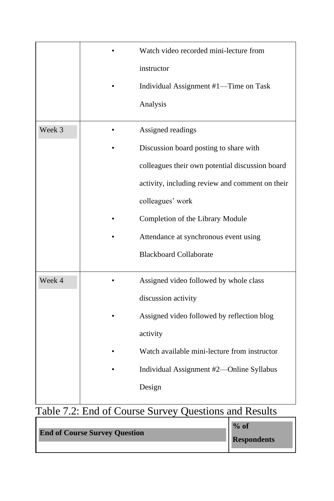|        | Watch video recorded mini-lecture from          |  |
|--------|-------------------------------------------------|--|
|        | instructor                                      |  |
|        | Individual Assignment #1-Time on Task           |  |
|        | Analysis                                        |  |
| Week 3 | Assigned readings                               |  |
|        | Discussion board posting to share with          |  |
|        | colleagues their own potential discussion board |  |
|        | activity, including review and comment on their |  |
|        | colleagues' work                                |  |
|        | Completion of the Library Module                |  |
|        | Attendance at synchronous event using           |  |
|        | <b>Blackboard Collaborate</b>                   |  |
| Week 4 | Assigned video followed by whole class          |  |
|        | discussion activity                             |  |
|        | Assigned video followed by reflection blog      |  |
|        | activity                                        |  |
|        | Watch available mini-lecture from instructor    |  |
|        | Individual Assignment #2-Online Syllabus        |  |
|        | Design                                          |  |
|        |                                                 |  |

## Table 7.2: End of Course Survey Questions and Results

|                                      | $%$ of             |
|--------------------------------------|--------------------|
| <b>End of Course Survey Question</b> | <b>Respondents</b> |
|                                      |                    |